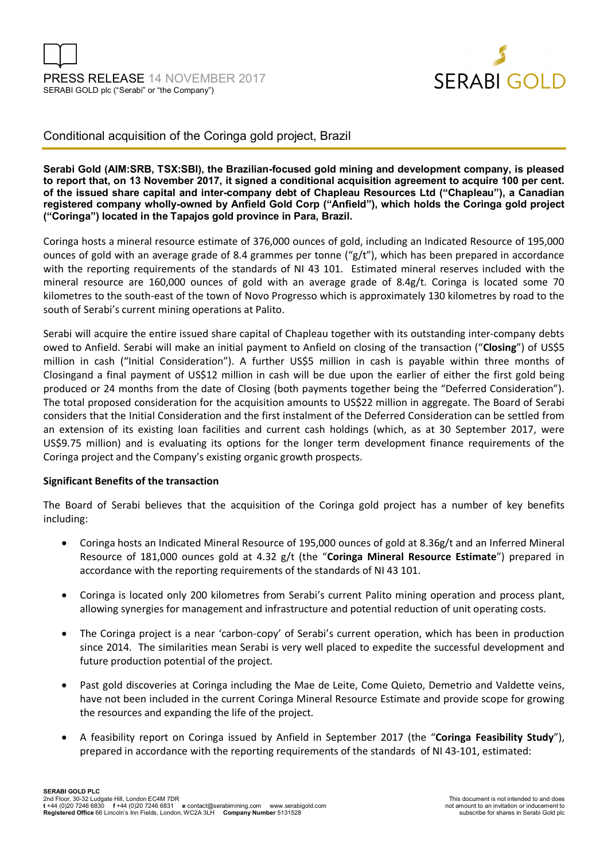



### Conditional acquisition of the Coringa gold project, Brazil

**Serabi Gold (AIM:SRB, TSX:SBI), the Brazilian-focused gold mining and development company, is pleased to report that, on 13 November 2017, it signed a conditional acquisition agreement to acquire 100 per cent. of the issued share capital and inter-company debt of Chapleau Resources Ltd ("Chapleau"), a Canadian registered company wholly-owned by Anfield Gold Corp ("Anfield"), which holds the Coringa gold project ("Coringa") located in the Tapajos gold province in Para, Brazil.** 

Coringa hosts a mineral resource estimate of 376,000 ounces of gold, including an Indicated Resource of 195,000 ounces of gold with an average grade of 8.4 grammes per tonne ("g/t"), which has been prepared in accordance with the reporting requirements of the standards of NI 43 101. Estimated mineral reserves included with the mineral resource are 160,000 ounces of gold with an average grade of 8.4g/t. Coringa is located some 70 kilometres to the south-east of the town of Novo Progresso which is approximately 130 kilometres by road to the south of Serabi's current mining operations at Palito.

Serabi will acquire the entire issued share capital of Chapleau together with its outstanding inter-company debts owed to Anfield. Serabi will make an initial payment to Anfield on closing of the transaction ("**Closing**") of US\$5 million in cash ("Initial Consideration"). A further US\$5 million in cash is payable within three months of Closingand a final payment of US\$12 million in cash will be due upon the earlier of either the first gold being produced or 24 months from the date of Closing (both payments together being the "Deferred Consideration"). The total proposed consideration for the acquisition amounts to US\$22 million in aggregate. The Board of Serabi considers that the Initial Consideration and the first instalment of the Deferred Consideration can be settled from an extension of its existing loan facilities and current cash holdings (which, as at 30 September 2017, were US\$9.75 million) and is evaluating its options for the longer term development finance requirements of the Coringa project and the Company's existing organic growth prospects.

#### **Significant Benefits of the transaction**

The Board of Serabi believes that the acquisition of the Coringa gold project has a number of key benefits including:

- Coringa hosts an Indicated Mineral Resource of 195,000 ounces of gold at 8.36g/t and an Inferred Mineral Resource of 181,000 ounces gold at 4.32 g/t (the "**Coringa Mineral Resource Estimate**") prepared in accordance with the reporting requirements of the standards of NI 43 101.
- Coringa is located only 200 kilometres from Serabi's current Palito mining operation and process plant, allowing synergies for management and infrastructure and potential reduction of unit operating costs.
- The Coringa project is a near 'carbon-copy' of Serabi's current operation, which has been in production since 2014. The similarities mean Serabi is very well placed to expedite the successful development and future production potential of the project.
- Past gold discoveries at Coringa including the Mae de Leite, Come Quieto, Demetrio and Valdette veins, have not been included in the current Coringa Mineral Resource Estimate and provide scope for growing the resources and expanding the life of the project.
- A feasibility report on Coringa issued by Anfield in September 2017 (the "**Coringa Feasibility Study**"), prepared in accordance with the reporting requirements of the standards of NI 43-101, estimated: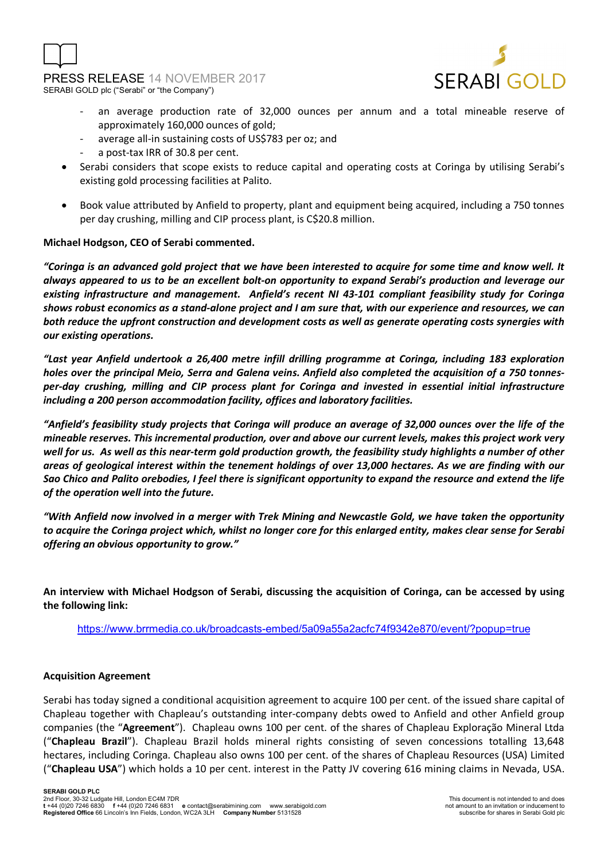



- an average production rate of 32,000 ounces per annum and a total mineable reserve of approximately 160,000 ounces of gold;
- average all-in sustaining costs of US\$783 per oz; and
- a post-tax IRR of 30.8 per cent.
- Serabi considers that scope exists to reduce capital and operating costs at Coringa by utilising Serabi's existing gold processing facilities at Palito.
- Book value attributed by Anfield to property, plant and equipment being acquired, including a 750 tonnes per day crushing, milling and CIP process plant, is C\$20.8 million.

#### **Michael Hodgson, CEO of Serabi commented.**

*"Coringa is an advanced gold project that we have been interested to acquire for some time and know well. It always appeared to us to be an excellent bolt-on opportunity to expand Serabi's production and leverage our existing infrastructure and management. Anfield's recent NI 43-101 compliant feasibility study for Coringa shows robust economics as a stand-alone project and I am sure that, with our experience and resources, we can both reduce the upfront construction and development costs as well as generate operating costs synergies with our existing operations.* 

*"Last year Anfield undertook a 26,400 metre infill drilling programme at Coringa, including 183 exploration holes over the principal Meio, Serra and Galena veins. Anfield also completed the acquisition of a 750 tonnesper-day crushing, milling and CIP process plant for Coringa and invested in essential initial infrastructure including a 200 person accommodation facility, offices and laboratory facilities.* 

*"Anfield's feasibility study projects that Coringa will produce an average of 32,000 ounces over the life of the mineable reserves. This incremental production, over and above our current levels, makes this project work very well for us. As well as this near-term gold production growth, the feasibility study highlights a number of other areas of geological interest within the tenement holdings of over 13,000 hectares. As we are finding with our Sao Chico and Palito orebodies, I feel there is significant opportunity to expand the resource and extend the life of the operation well into the future.* 

*"With Anfield now involved in a merger with Trek Mining and Newcastle Gold, we have taken the opportunity to acquire the Coringa project which, whilst no longer core for this enlarged entity, makes clear sense for Serabi offering an obvious opportunity to grow."* 

**An interview with Michael Hodgson of Serabi, discussing the acquisition of Coringa, can be accessed by using the following link:** 

https://www.brrmedia.co.uk/broadcasts-embed/5a09a55a2acfc74f9342e870/event/?popup=true

#### **Acquisition Agreement**

Serabi has today signed a conditional acquisition agreement to acquire 100 per cent. of the issued share capital of Chapleau together with Chapleau's outstanding inter-company debts owed to Anfield and other Anfield group companies (the "**Agreement**"). Chapleau owns 100 per cent. of the shares of Chapleau Exploração Mineral Ltda ("**Chapleau Brazil**"). Chapleau Brazil holds mineral rights consisting of seven concessions totalling 13,648 hectares, including Coringa. Chapleau also owns 100 per cent. of the shares of Chapleau Resources (USA) Limited ("**Chapleau USA**") which holds a 10 per cent. interest in the Patty JV covering 616 mining claims in Nevada, USA.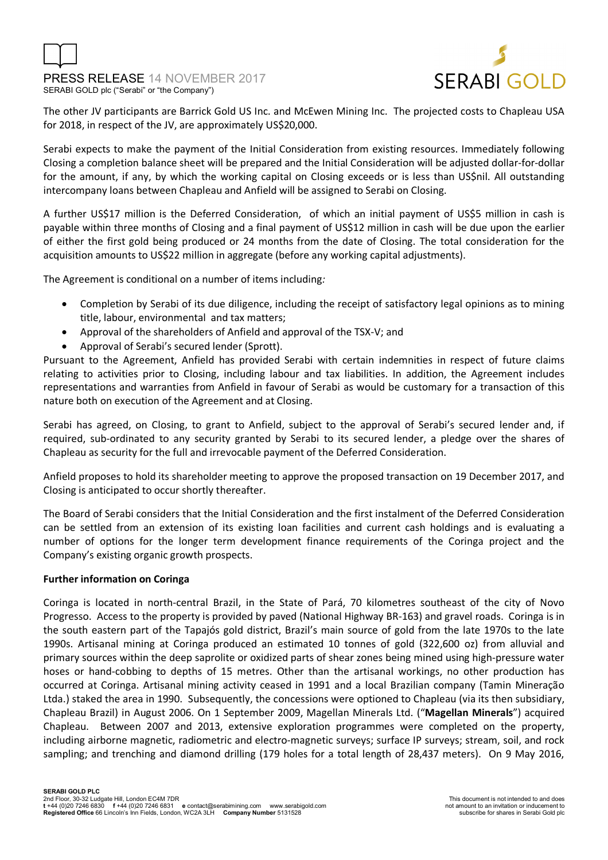



The other JV participants are Barrick Gold US Inc. and McEwen Mining Inc. The projected costs to Chapleau USA for 2018, in respect of the JV, are approximately US\$20,000.

Serabi expects to make the payment of the Initial Consideration from existing resources. Immediately following Closing a completion balance sheet will be prepared and the Initial Consideration will be adjusted dollar-for-dollar for the amount, if any, by which the working capital on Closing exceeds or is less than US\$nil. All outstanding intercompany loans between Chapleau and Anfield will be assigned to Serabi on Closing.

A further US\$17 million is the Deferred Consideration, of which an initial payment of US\$5 million in cash is payable within three months of Closing and a final payment of US\$12 million in cash will be due upon the earlier of either the first gold being produced or 24 months from the date of Closing. The total consideration for the acquisition amounts to US\$22 million in aggregate (before any working capital adjustments).

The Agreement is conditional on a number of items including*:*

- Completion by Serabi of its due diligence, including the receipt of satisfactory legal opinions as to mining title, labour, environmental and tax matters;
- Approval of the shareholders of Anfield and approval of the TSX-V; and
- Approval of Serabi's secured lender (Sprott).

Pursuant to the Agreement, Anfield has provided Serabi with certain indemnities in respect of future claims relating to activities prior to Closing, including labour and tax liabilities. In addition, the Agreement includes representations and warranties from Anfield in favour of Serabi as would be customary for a transaction of this nature both on execution of the Agreement and at Closing.

Serabi has agreed, on Closing, to grant to Anfield, subject to the approval of Serabi's secured lender and, if required, sub-ordinated to any security granted by Serabi to its secured lender, a pledge over the shares of Chapleau as security for the full and irrevocable payment of the Deferred Consideration.

Anfield proposes to hold its shareholder meeting to approve the proposed transaction on 19 December 2017, and Closing is anticipated to occur shortly thereafter.

The Board of Serabi considers that the Initial Consideration and the first instalment of the Deferred Consideration can be settled from an extension of its existing loan facilities and current cash holdings and is evaluating a number of options for the longer term development finance requirements of the Coringa project and the Company's existing organic growth prospects.

#### **Further information on Coringa**

Coringa is located in north-central Brazil, in the State of Pará, 70 kilometres southeast of the city of Novo Progresso. Access to the property is provided by paved (National Highway BR-163) and gravel roads. Coringa is in the south eastern part of the Tapajós gold district, Brazil's main source of gold from the late 1970s to the late 1990s. Artisanal mining at Coringa produced an estimated 10 tonnes of gold (322,600 oz) from alluvial and primary sources within the deep saprolite or oxidized parts of shear zones being mined using high-pressure water hoses or hand-cobbing to depths of 15 metres. Other than the artisanal workings, no other production has occurred at Coringa. Artisanal mining activity ceased in 1991 and a local Brazilian company (Tamin Mineração Ltda.) staked the area in 1990. Subsequently, the concessions were optioned to Chapleau (via its then subsidiary, Chapleau Brazil) in August 2006. On 1 September 2009, Magellan Minerals Ltd. ("**Magellan Minerals**") acquired Chapleau. Between 2007 and 2013, extensive exploration programmes were completed on the property, including airborne magnetic, radiometric and electro-magnetic surveys; surface IP surveys; stream, soil, and rock sampling; and trenching and diamond drilling (179 holes for a total length of 28,437 meters). On 9 May 2016,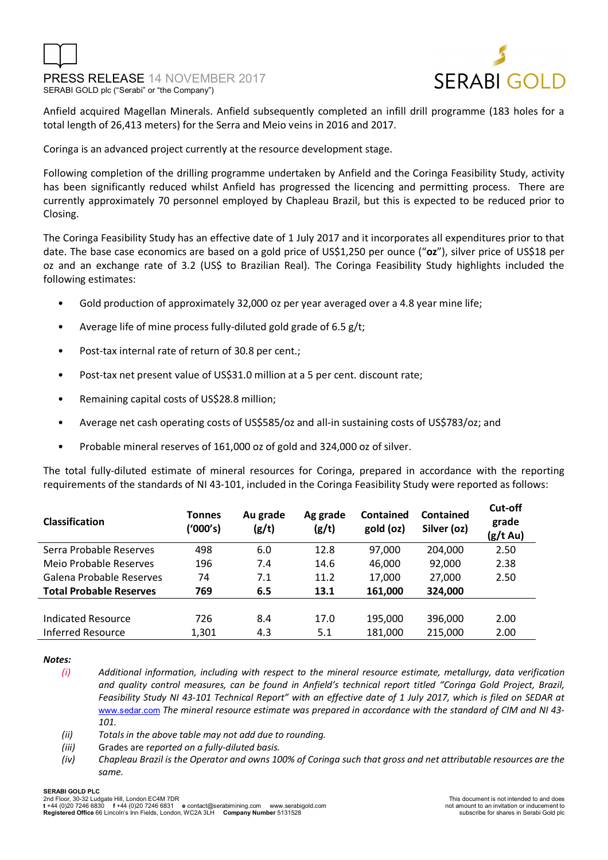



Anfield acquired Magellan Minerals. Anfield subsequently completed an infill drill programme (183 holes for a total length of 26,413 meters) for the Serra and Meio veins in 2016 and 2017.

Coringa is an advanced project currently at the resource development stage.

Following completion of the drilling programme undertaken by Anfield and the Coringa Feasibility Study, activity has been significantly reduced whilst Anfield has progressed the licencing and permitting process. There are currently approximately 70 personnel employed by Chapleau Brazil, but this is expected to be reduced prior to Closing.

The Coringa Feasibility Study has an effective date of 1 July 2017 and it incorporates all expenditures prior to that date. The base case economics are based on a gold price of US\$1,250 per ounce ("**oz**"), silver price of US\$18 per oz and an exchange rate of 3.2 (US\$ to Brazilian Real). The Coringa Feasibility Study highlights included the following estimates:

- Gold production of approximately 32,000 oz per year averaged over a 4.8 year mine life;
- Average life of mine process fully-diluted gold grade of 6.5 g/t;
- Post-tax internal rate of return of 30.8 per cent.;
- Post-tax net present value of US\$31.0 million at a 5 per cent. discount rate;
- Remaining capital costs of US\$28.8 million;
- Average net cash operating costs of US\$585/oz and all-in sustaining costs of US\$783/oz; and
- Probable mineral reserves of 161,000 oz of gold and 324,000 oz of silver.

The total fully-diluted estimate of mineral resources for Coringa, prepared in accordance with the reporting requirements of the standards of NI 43-101, included in the Coringa Feasibility Study were reported as follows:

| <b>Classification</b>          | <b>Tonnes</b><br>('000's) | Au grade<br>(g/t) | Ag grade<br>(g/t) | Contained<br>gold (oz) | Contained<br>Silver (oz) | Cut-off<br>grade<br>(g/t Au) |
|--------------------------------|---------------------------|-------------------|-------------------|------------------------|--------------------------|------------------------------|
| Serra Probable Reserves        | 498                       | 6.0               | 12.8              | 97,000                 | 204.000                  | 2.50                         |
| Meio Probable Reserves         | 196                       | 7.4               | 14.6              | 46,000                 | 92,000                   | 2.38                         |
| Galena Probable Reserves       | 74                        | 7.1               | 11.2              | 17,000                 | 27,000                   | 2.50                         |
| <b>Total Probable Reserves</b> | 769                       | 6.5               | 13.1              | 161,000                | 324,000                  |                              |
|                                |                           |                   |                   |                        |                          |                              |
| Indicated Resource             | 726                       | 8.4               | 17.0              | 195,000                | 396,000                  | 2.00                         |
| Inferred Resource              | 1,301                     | 4.3               | 5.1               | 181,000                | 215,000                  | 2.00                         |

*Notes:* 

- *(i) Additional information, including with respect to the mineral resource estimate, metallurgy, data verification and quality control measures, can be found in Anfield's technical report titled "Coringa Gold Project, Brazil, Feasibility Study NI 43-101 Technical Report" with an effective date of 1 July 2017, which is filed on SEDAR at* www.sedar.com *The mineral resource estimate was prepared in accordance with the standard of CIM and NI 43- 101.*
- *(ii) Totals in the above table may not add due to rounding.*
- *(iii)* Grades are r*eported on a fully-diluted basis.*
- *(iv) Chapleau Brazil is the Operator and owns 100% of Coringa such that gross and net attributable resources are the same.*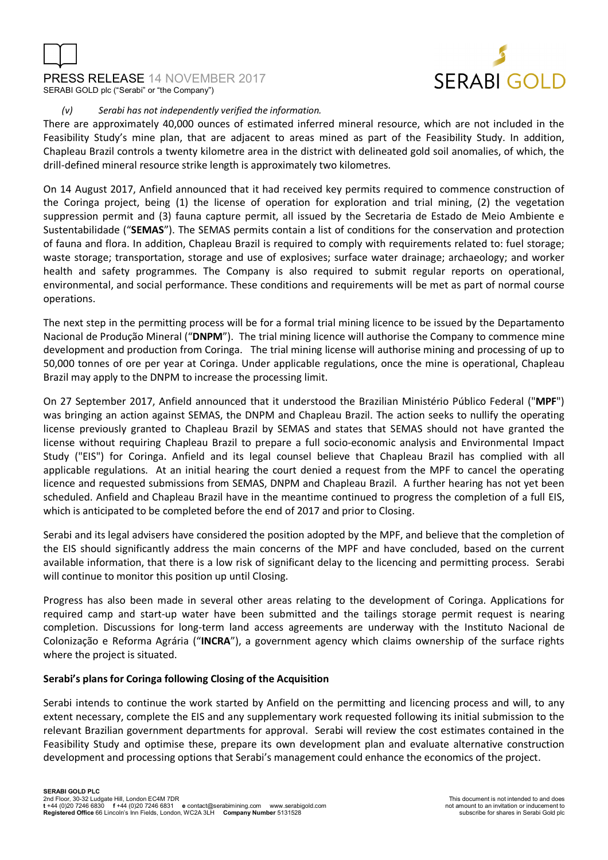# PRESS RELEASE 14 NOVEMBER 2017 SERABI GOLD plc ("Serabi" or "the Company")



#### *(v) Serabi has not independently verified the information.*

There are approximately 40,000 ounces of estimated inferred mineral resource, which are not included in the Feasibility Study's mine plan, that are adjacent to areas mined as part of the Feasibility Study. In addition, Chapleau Brazil controls a twenty kilometre area in the district with delineated gold soil anomalies, of which, the drill-defined mineral resource strike length is approximately two kilometres.

On 14 August 2017, Anfield announced that it had received key permits required to commence construction of the Coringa project, being (1) the license of operation for exploration and trial mining, (2) the vegetation suppression permit and (3) fauna capture permit, all issued by the Secretaria de Estado de Meio Ambiente e Sustentabilidade ("**SEMAS**"). The SEMAS permits contain a list of conditions for the conservation and protection of fauna and flora. In addition, Chapleau Brazil is required to comply with requirements related to: fuel storage; waste storage; transportation, storage and use of explosives; surface water drainage; archaeology; and worker health and safety programmes. The Company is also required to submit regular reports on operational, environmental, and social performance. These conditions and requirements will be met as part of normal course operations.

The next step in the permitting process will be for a formal trial mining licence to be issued by the Departamento Nacional de Produção Mineral ("**DNPM**"). The trial mining licence will authorise the Company to commence mine development and production from Coringa. The trial mining license will authorise mining and processing of up to 50,000 tonnes of ore per year at Coringa. Under applicable regulations, once the mine is operational, Chapleau Brazil may apply to the DNPM to increase the processing limit.

On 27 September 2017, Anfield announced that it understood the Brazilian Ministério Público Federal ("**MPF**") was bringing an action against SEMAS, the DNPM and Chapleau Brazil. The action seeks to nullify the operating license previously granted to Chapleau Brazil by SEMAS and states that SEMAS should not have granted the license without requiring Chapleau Brazil to prepare a full socio-economic analysis and Environmental Impact Study ("EIS") for Coringa. Anfield and its legal counsel believe that Chapleau Brazil has complied with all applicable regulations. At an initial hearing the court denied a request from the MPF to cancel the operating licence and requested submissions from SEMAS, DNPM and Chapleau Brazil. A further hearing has not yet been scheduled. Anfield and Chapleau Brazil have in the meantime continued to progress the completion of a full EIS, which is anticipated to be completed before the end of 2017 and prior to Closing.

Serabi and its legal advisers have considered the position adopted by the MPF, and believe that the completion of the EIS should significantly address the main concerns of the MPF and have concluded, based on the current available information, that there is a low risk of significant delay to the licencing and permitting process. Serabi will continue to monitor this position up until Closing.

Progress has also been made in several other areas relating to the development of Coringa. Applications for required camp and start-up water have been submitted and the tailings storage permit request is nearing completion. Discussions for long-term land access agreements are underway with the Instituto Nacional de Colonização e Reforma Agrária ("**INCRA**"), a government agency which claims ownership of the surface rights where the project is situated.

### **Serabi's plans for Coringa following Closing of the Acquisition**

Serabi intends to continue the work started by Anfield on the permitting and licencing process and will, to any extent necessary, complete the EIS and any supplementary work requested following its initial submission to the relevant Brazilian government departments for approval. Serabi will review the cost estimates contained in the Feasibility Study and optimise these, prepare its own development plan and evaluate alternative construction development and processing options that Serabi's management could enhance the economics of the project.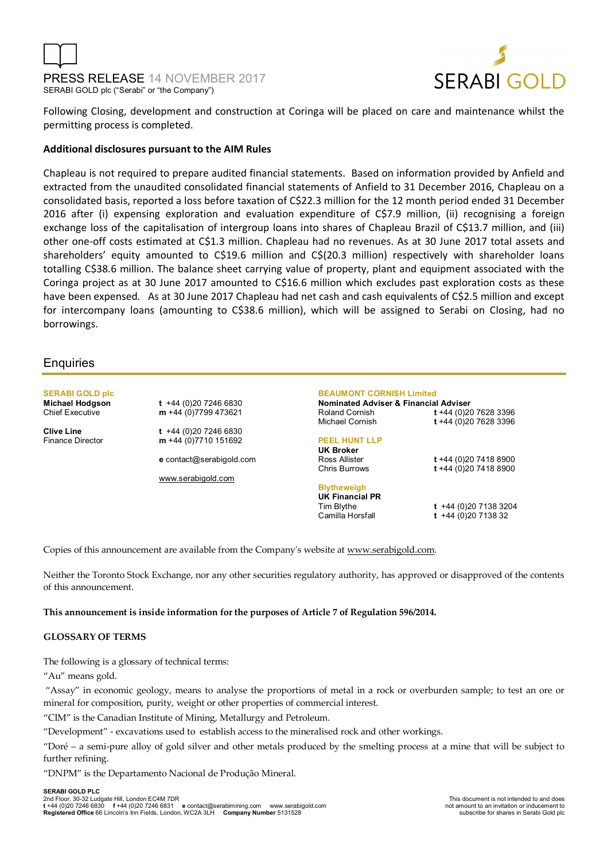



Following Closing, development and construction at Coringa will be placed on care and maintenance whilst the permitting process is completed.

#### **Additional disclosures pursuant to the AIM Rules**

Chapleau is not required to prepare audited financial statements. Based on information provided by Anfield and extracted from the unaudited consolidated financial statements of Anfield to 31 December 2016, Chapleau on a consolidated basis, reported a loss before taxation of C\$22.3 million for the 12 month period ended 31 December 2016 after (i) expensing exploration and evaluation expenditure of C\$7.9 million, (ii) recognising a foreign exchange loss of the capitalisation of intergroup loans into shares of Chapleau Brazil of C\$13.7 million, and (iii) other one-off costs estimated at C\$1.3 million. Chapleau had no revenues. As at 30 June 2017 total assets and shareholders' equity amounted to C\$19.6 million and C\$(20.3 million) respectively with shareholder loans totalling C\$38.6 million. The balance sheet carrying value of property, plant and equipment associated with the Coringa project as at 30 June 2017 amounted to C\$16.6 million which excludes past exploration costs as these have been expensed. As at 30 June 2017 Chapleau had net cash and cash equivalents of C\$2.5 million and except for intercompany loans (amounting to C\$38.6 million), which will be assigned to Serabi on Closing, had no borrowings.

#### **Enquiries**

**SERABI GOLD plc** 

**Michael Hodgson t** +44 (0)20 7246 6830<br>Chief Executive **m** +44 (0)7799 473621 m +44 (0)7799 473621

**Clive Line** t +44 (0)20 7246 6830<br>Finance Director **m** +44 (0)7710 151692 m +44 (0)7710 151692

**e** contact@serabigold.com

www.serabigold.com

#### **BEAUMONT CORNISH Limited**

**Nominated Adviser & Financial Adviser**  Roland Cornish **t** +44 (0)20 7628 3396 Michael Cornish **t** +44 (0)20 7628 3396

#### **PEEL HUNT LLP UK Broker**

Ross Allister **t** +44 (0)20 7418 8900 Chris Burrows **t** +44 (0)20 7418 8900

# **Blytheweigh**

**UK Financial PR** 

Tim Blythe **t** +44 (0)20 7138 3204 Camilla Horsfall **t** +44 (0)20 7138 32

Copies of this announcement are available from the Company's website at www.serabigold.com.

Neither the Toronto Stock Exchange, nor any other securities regulatory authority, has approved or disapproved of the contents of this announcement.

#### **This announcement is inside information for the purposes of Article 7 of Regulation 596/2014.**

#### **GLOSSARY OF TERMS**

The following is a glossary of technical terms:

"Au" means gold.

 "Assay" in economic geology, means to analyse the proportions of metal in a rock or overburden sample; to test an ore or mineral for composition, purity, weight or other properties of commercial interest.

"CIM" is the Canadian Institute of Mining, Metallurgy and Petroleum.

"Development" - excavations used to establish access to the mineralised rock and other workings.

"Doré – a semi-pure alloy of gold silver and other metals produced by the smelting process at a mine that will be subject to further refining.

"DNPM" is the Departamento Nacional de Produção Mineral.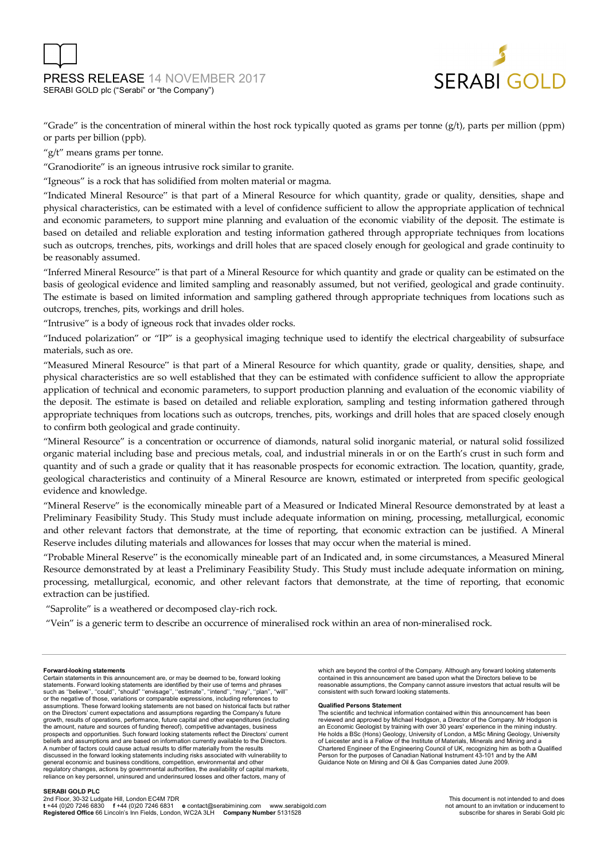## PRESS RELEASE 14 NOVEMBER 2017 SERABI GOLD plc ("Serabi" or "the Company")



"Grade" is the concentration of mineral within the host rock typically quoted as grams per tonne  $(g/t)$ , parts per million (ppm) or parts per billion (ppb).

"g/t" means grams per tonne.

"Granodiorite" is an igneous intrusive rock similar to granite.

"Igneous" is a rock that has solidified from molten material or magma.

"Indicated Mineral Resource" is that part of a Mineral Resource for which quantity, grade or quality, densities, shape and physical characteristics, can be estimated with a level of confidence sufficient to allow the appropriate application of technical and economic parameters, to support mine planning and evaluation of the economic viability of the deposit. The estimate is based on detailed and reliable exploration and testing information gathered through appropriate techniques from locations such as outcrops, trenches, pits, workings and drill holes that are spaced closely enough for geological and grade continuity to be reasonably assumed.

"Inferred Mineral Resource" is that part of a Mineral Resource for which quantity and grade or quality can be estimated on the basis of geological evidence and limited sampling and reasonably assumed, but not verified, geological and grade continuity. The estimate is based on limited information and sampling gathered through appropriate techniques from locations such as outcrops, trenches, pits, workings and drill holes.

"Intrusive" is a body of igneous rock that invades older rocks.

"Induced polarization" or "IP" is a geophysical imaging technique used to identify the electrical chargeability of subsurface materials, such as ore.

"Measured Mineral Resource" is that part of a Mineral Resource for which quantity, grade or quality, densities, shape, and physical characteristics are so well established that they can be estimated with confidence sufficient to allow the appropriate application of technical and economic parameters, to support production planning and evaluation of the economic viability of the deposit. The estimate is based on detailed and reliable exploration, sampling and testing information gathered through appropriate techniques from locations such as outcrops, trenches, pits, workings and drill holes that are spaced closely enough to confirm both geological and grade continuity.

"Mineral Resource" is a concentration or occurrence of diamonds, natural solid inorganic material, or natural solid fossilized organic material including base and precious metals, coal, and industrial minerals in or on the Earth's crust in such form and quantity and of such a grade or quality that it has reasonable prospects for economic extraction. The location, quantity, grade, geological characteristics and continuity of a Mineral Resource are known, estimated or interpreted from specific geological evidence and knowledge.

"Mineral Reserve" is the economically mineable part of a Measured or Indicated Mineral Resource demonstrated by at least a Preliminary Feasibility Study. This Study must include adequate information on mining, processing, metallurgical, economic and other relevant factors that demonstrate, at the time of reporting, that economic extraction can be justified. A Mineral Reserve includes diluting materials and allowances for losses that may occur when the material is mined.

"Probable Mineral Reserve" is the economically mineable part of an Indicated and, in some circumstances, a Measured Mineral Resource demonstrated by at least a Preliminary Feasibility Study. This Study must include adequate information on mining, processing, metallurgical, economic, and other relevant factors that demonstrate, at the time of reporting, that economic extraction can be justified.

"Saprolite" is a weathered or decomposed clay-rich rock.

"Vein" is a generic term to describe an occurrence of mineralised rock within an area of non-mineralised rock.

#### **Forward-looking statements**

Certain statements in this announcement are, or may be deemed to be, forward looking statements. Forward looking statements are identified by their use of terms and phrases such as ''believe'', ''could'', "should" ''envisage'', ''estimate'', ''intend'', ''may'', ''plan'', ''will'' or the negative of those, variations or comparable expressions, including references to assumptions. These forward looking statements are not based on historical facts but rather on the Directors' current expectations and assumptions regarding the Company's future<br>growth, results of operations, performance, future capital and other expenditures (including<br>the amount, nature and sources of funding t beliefs and assumptions and are based on information currently available to the Directors. A number of factors could cause actual results to differ materially from the results discussed in the forward looking statements including risks associated with vulnerability to general economic and business conditions, competition, environmental and other regulatory changes, actions by governmental authorities, the availability of capital markets, reliance on key personnel, uninsured and underinsured losses and other factors, many of which are beyond the control of the Company. Although any forward looking statements contained in this announcement are based upon what the Directors believe to be reasonable assumptions, the Company cannot assure investors that actual results will be consistent with such forward looking statements.

**Qualified Persons Statement** 

The scientific and technical information contained within this announcement has been reviewed and approved by Michael Hodgson, a Director of the Company. Mr Hodgson is an Economic Geologist by training with over 30 years' experience in the mining industry. He holds a BSc (Hons) Geology, University of London, a MSc Mining Geology, University of Leicester and is a Fellow of the Institute of Materials, Minerals and Mining and a<br>Chartered Engineer of the Engineering Council of UK, recognizing him as both a Qualified<br>Person for the purposes of Canadian National In Guidance Note on Mining and Oil & Gas Companies dated June 2009.